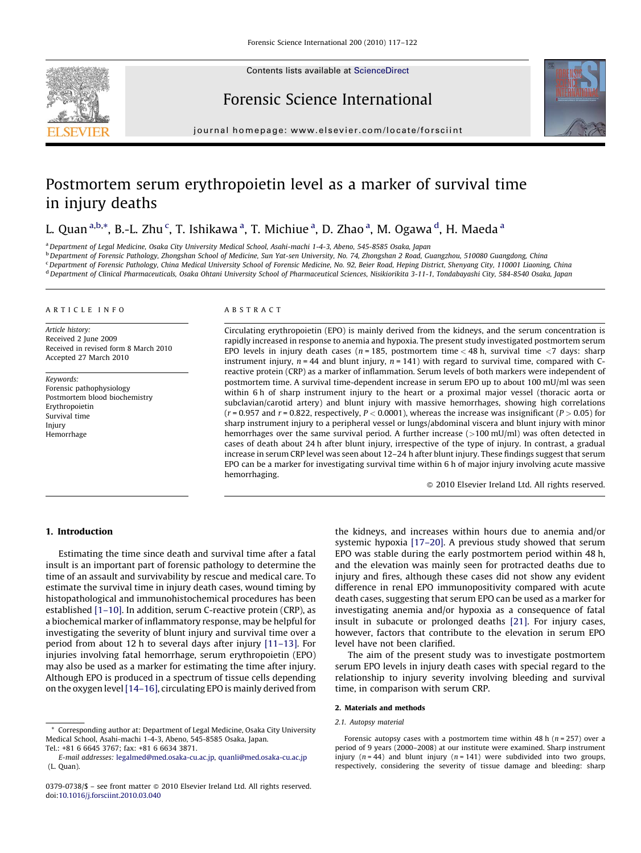

Contents lists available at [ScienceDirect](http://www.sciencedirect.com/science/journal/03790738)

Forensic Science International



journal homepage: www.elsevier.com/locate/forsciint

# Postmortem serum erythropoietin level as a marker of survival time in injury deaths

## L. Quan <sup>a,b,</sup>\*, B.-L. Zhu <sup>c</sup>, T. Ishikawa <sup>a</sup>, T. Michiue <sup>a</sup>, D. Zhao <sup>a</sup>, M. Ogawa <sup>d</sup>, H. Maeda <sup>a</sup>

<sup>a</sup> Department of Legal Medicine, Osaka City University Medical School, Asahi-machi 1-4-3, Abeno, 545-8585 Osaka, Japan <sup>b</sup> Department of Forensic Pathology, Zhongshan School of Medicine, Sun Yat-sen University, No. 74, Zhongshan 2 Road, Guangzhou, 510080 Guangdong, China <sup>c</sup> Department of Forensic Pathology, China Medical University School of Forensic Medicine, No. 92, Beier Road, Heping District, Shenyang City, 110001 Liaoning, China d Department of Clinical Pharmaceuticals, Osaka Ohtani University School of Pharmaceutical Sciences, Nisikiorikita 3-11-1, Tondabayashi City, 584-8540 Osaka, Japan

#### ARTICLE INFO

Article history: Received 2 June 2009 Received in revised form 8 March 2010 Accepted 27 March 2010

Keywords: Forensic pathophysiology Postmortem blood biochemistry Erythropoietin Survival time Injury Hemorrhage

#### ABSTRACT

Circulating erythropoietin (EPO) is mainly derived from the kidneys, and the serum concentration is rapidly increased in response to anemia and hypoxia. The present study investigated postmortem serum EPO levels in injury death cases ( $n = 185$ , postmortem time < 48 h, survival time < 7 days: sharp instrument injury,  $n = 44$  and blunt injury,  $n = 141$ ) with regard to survival time, compared with Creactive protein (CRP) as a marker of inflammation. Serum levels of both markers were independent of postmortem time. A survival time-dependent increase in serum EPO up to about 100 mU/ml was seen within 6 h of sharp instrument injury to the heart or a proximal major vessel (thoracic aorta or subclavian/carotid artery) and blunt injury with massive hemorrhages, showing high correlations  $(r = 0.957$  and  $r = 0.822$ , respectively,  $P < 0.0001$ ), whereas the increase was insignificant  $(P > 0.05)$  for sharp instrument injury to a peripheral vessel or lungs/abdominal viscera and blunt injury with minor hemorrhages over the same survival period. A further increase (>100 mU/ml) was often detected in cases of death about 24 h after blunt injury, irrespective of the type of injury. In contrast, a gradual increase in serum CRP level was seen about 12–24 h after blunt injury. These findings suggest that serum EPO can be a marker for investigating survival time within 6 h of major injury involving acute massive hemorrhaging.

 $\odot$  2010 Elsevier Ireland Ltd. All rights reserved.

## 1. Introduction

Estimating the time since death and survival time after a fatal insult is an important part of forensic pathology to determine the time of an assault and survivability by rescue and medical care. To estimate the survival time in injury death cases, wound timing by histopathological and immunohistochemical procedures has been established [\[1–10\]](#page-5-0). In addition, serum C-reactive protein (CRP), as a biochemical marker of inflammatory response, may be helpful for investigating the severity of blunt injury and survival time over a period from about 12 h to several days after injury [\[11–13\]](#page-5-0). For injuries involving fatal hemorrhage, serum erythropoietin (EPO) may also be used as a marker for estimating the time after injury. Although EPO is produced in a spectrum of tissue cells depending on the oxygen level[\[14–16\],](#page-5-0) circulating EPO is mainly derived from

\* Corresponding author at: Department of Legal Medicine, Osaka City University Medical School, Asahi-machi 1-4-3, Abeno, 545-8585 Osaka, Japan. Tel.: +81 6 6645 3767; fax: +81 6 6634 3871.

the kidneys, and increases within hours due to anemia and/or systemic hypoxia [\[17–20\]](#page-5-0). A previous study showed that serum EPO was stable during the early postmortem period within 48 h, and the elevation was mainly seen for protracted deaths due to injury and fires, although these cases did not show any evident difference in renal EPO immunopositivity compared with acute death cases, suggesting that serum EPO can be used as a marker for investigating anemia and/or hypoxia as a consequence of fatal insult in subacute or prolonged deaths [\[21\].](#page-5-0) For injury cases, however, factors that contribute to the elevation in serum EPO level have not been clarified.

The aim of the present study was to investigate postmortem serum EPO levels in injury death cases with special regard to the relationship to injury severity involving bleeding and survival time, in comparison with serum CRP.

#### 2. Materials and methods

#### 2.1. Autopsy material

Forensic autopsy cases with a postmortem time within 48 h ( $n = 257$ ) over a period of 9 years (2000–2008) at our institute were examined. Sharp instrument injury ( $n = 44$ ) and blunt injury ( $n = 141$ ) were subdivided into two groups, respectively, considering the severity of tissue damage and bleeding: sharp

E-mail addresses: [legalmed@med.osaka-cu.ac.jp](mailto:legalmed@med.osaka-cu.ac.jp), [quanli@med.osaka-cu.ac.jp](mailto:quanli@med.osaka-cu.ac.jp) (L. Quan).

 $0379-0738/\$  – see front matter  $\odot$  2010 Elsevier Ireland Ltd. All rights reserved. doi:[10.1016/j.forsciint.2010.03.040](http://dx.doi.org/10.1016/j.forsciint.2010.03.040)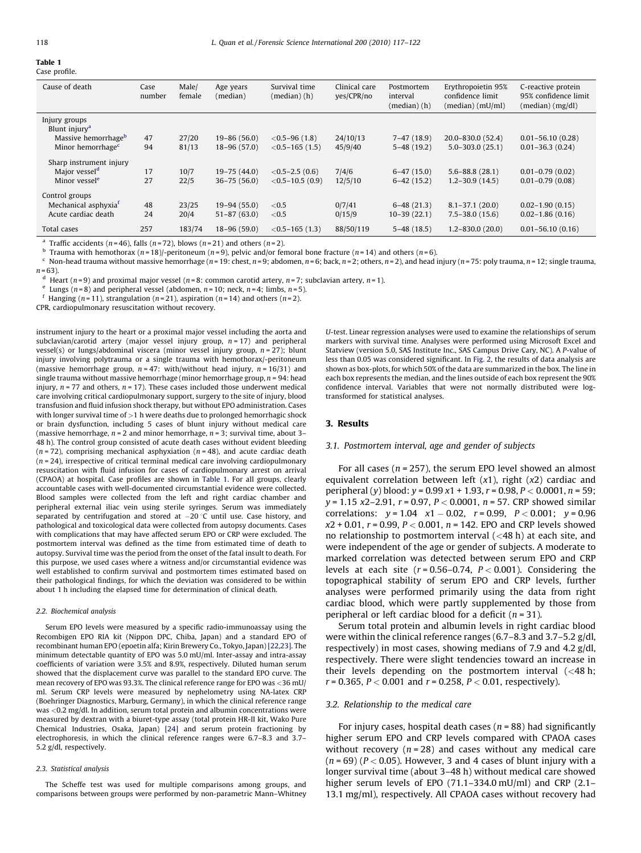## Table 1

|  | Case profile. |  |
|--|---------------|--|
|--|---------------|--|

| Cause of death                   | Case<br>number | Male/<br>female | Age years<br>(median) | Survival time<br>$(median)$ $(h)$ | Clinical care<br>yes/CPR/no | Postmortem<br>interval<br>$(median)$ $(h)$ | Erythropoietin 95%<br>confidence limit<br>(median) (mU/ml) | C-reactive protein<br>95% confidence limit<br>(median) (mg/dl) |
|----------------------------------|----------------|-----------------|-----------------------|-----------------------------------|-----------------------------|--------------------------------------------|------------------------------------------------------------|----------------------------------------------------------------|
| Injury groups                    |                |                 |                       |                                   |                             |                                            |                                                            |                                                                |
| Blunt injury <sup>a</sup>        |                |                 |                       |                                   |                             |                                            |                                                            |                                                                |
| Massive hemorrhage <sup>b</sup>  | 47             | 27/20           | $19 - 86(56.0)$       | $< 0.5 - 96 (1.8)$                | 24/10/13                    | $7-47(18.9)$                               | 20.0-830.0 (52.4)                                          | $0.01 - 56.10(0.28)$                                           |
| Minor hemorrhage <sup>c</sup>    | 94             | 81/13           | $18 - 96(57.0)$       | $< 0.5 - 165$ (1.5)               | 45/9/40                     | $5 - 48$ (19.2)                            | $5.0 - 303.0(25.1)$                                        | $0.01 - 36.3(0.24)$                                            |
| Sharp instrument injury          |                |                 |                       |                                   |                             |                                            |                                                            |                                                                |
| Major vessel <sup>d</sup>        | 17             | 10/7            | $19 - 75(44.0)$       | $< 0.5 - 2.5$ (0.6)               | 7/4/6                       | $6-47(15.0)$                               | $5.6 - 88.8(28.1)$                                         | $0.01 - 0.79(0.02)$                                            |
| Minor vessel <sup>e</sup>        | 27             | 22/5            | $36 - 75(56.0)$       | $< 0.5 - 10.5$ (0.9)              | 12/5/10                     | $6-42(15.2)$                               | $1.2 - 30.9(14.5)$                                         | $0.01 - 0.79(0.08)$                                            |
| Control groups                   |                |                 |                       |                                   |                             |                                            |                                                            |                                                                |
| Mechanical asphyxia <sup>f</sup> | 48             | 23/25           | $19-94(55.0)$         | ${<}0.5$                          | 0/7/41                      | $6-48(21.3)$                               | $8.1 - 37.1(20.0)$                                         | $0.02 - 1.90(0.15)$                                            |
| Acute cardiac death              | 24             | 20/4            | $51 - 87(63.0)$       | ${<}0.5$                          | 0/15/9                      | $10-39(22.1)$                              | $7.5 - 38.0(15.6)$                                         | $0.02 - 1.86(0.16)$                                            |
| Total cases                      | 257            | 183/74          | $18 - 96(59.0)$       | $< 0.5 - 165$ (1.3)               | 88/50/119                   | $5 - 48$ (18.5)                            | $1.2 - 830.0(20.0)$                                        | $0.01 - 56.10(0.16)$                                           |

<sup>a</sup> Traffic accidents ( $n = 46$ ), falls ( $n = 72$ ), blows ( $n = 21$ ) and others ( $n = 2$ ).

<sup>b</sup> Trauma with hemothorax (n = 18)/-peritoneum (n = 9), pelvic and/or femoral bone fracture (n = 14) and others (n = 6).

<sup>c</sup> Non-head trauma without massive hemorrhage (n = 19: chest, n = 9; abdomen, n = 6; back, n = 2; others, n = 2), and head injury (n = 75: poly trauma, n = 12; single trauma,

 $n = 63$ ).

<sup>d</sup> Heart (n=9) and proximal major vessel (n=8: common carotid artery, n=7; subclavian artery, n=1).

e Lungs  $(n=8)$  and peripheral vessel (abdomen,  $n=10$ ; neck,  $n=4$ ; limbs,  $n=5$ ).

<sup>f</sup> Hanging (n=11), strangulation (n=21), aspiration (n=14) and others (n=2).

CPR, cardiopulmonary resuscitation without recovery.

instrument injury to the heart or a proximal major vessel including the aorta and subclavian/carotid artery (major vessel injury group,  $n = 17$ ) and peripheral vessel(s) or lungs/abdominal viscera (minor vessel injury group,  $n = 27$ ); blunt injury involving polytrauma or a single trauma with hemothorax/-peritoneum (massive hemorrhage group,  $n = 47$ : with/without head injury,  $n = 16/31$ ) and single trauma without massive hemorrhage (minor hemorrhage group,  $n = 94$ : head injury,  $n = 77$  and others,  $n = 17$ ). These cases included those underwent medical care involving critical cardiopulmonary support, surgery to the site of injury, blood transfusion and fluid infusion shock therapy, but without EPO administration. Cases with longer survival time of >1 h were deaths due to prolonged hemorrhagic shock or brain dysfunction, including 5 cases of blunt injury without medical care (massive hemorrhage,  $n = 2$  and minor hemorrhage,  $n = 3$ ; survival time, about 3– 48 h). The control group consisted of acute death cases without evident bleeding  $(n = 72)$ , comprising mechanical asphyxiation  $(n = 48)$ , and acute cardiac death  $(n = 24)$ , irrespective of critical terminal medical care involving cardiopulmonary resuscitation with fluid infusion for cases of cardiopulmonary arrest on arrival (CPAOA) at hospital. Case profiles are shown in Table 1. For all groups, clearly accountable cases with well-documented circumstantial evidence were collected. Blood samples were collected from the left and right cardiac chamber and peripheral external iliac vein using sterile syringes. Serum was immediately separated by centrifugation and stored at  $-20$  °C until use. Case history, and pathological and toxicological data were collected from autopsy documents. Cases with complications that may have affected serum EPO or CRP were excluded. The postmortem interval was defined as the time from estimated time of death to autopsy. Survival time was the period from the onset of the fatal insult to death. For this purpose, we used cases where a witness and/or circumstantial evidence was well established to confirm survival and postmortem times estimated based on their pathological findings, for which the deviation was considered to be within about 1 h including the elapsed time for determination of clinical death.

#### 2.2. Biochemical analysis

Serum EPO levels were measured by a specific radio-immunoassay using the Recombigen EPO RIA kit (Nippon DPC, Chiba, Japan) and a standard EPO of recombinant human EPO (epoetin alfa; Kirin Brewery Co., Tokyo, Japan) [\[22,23\].](#page-5-0) The minimum detectable quantity of EPO was 5.0 mU/ml. Inter-assay and intra-assay coefficients of variation were 3.5% and 8.9%, respectively. Diluted human serum showed that the displacement curve was parallel to the standard EPO curve. The mean recovery of EPO was 93.3%. The clinical reference range for EPO was <36 mU/ ml. Serum CRP levels were measured by nephelometry using NA-latex CRP (Boehringer Diagnostics, Marburg, Germany), in which the clinical reference range was <0.2 mg/dl. In addition, serum total protein and albumin concentrations were measured by dextran with a biuret-type assay (total protein HR-II kit, Wako Pure Chemical Industries, Osaka, Japan) [\[24\]](#page-5-0) and serum protein fractioning by electrophoresis, in which the clinical reference ranges were 6.7–8.3 and 3.7– 5.2 g/dl, respectively.

#### 2.3. Statistical analysis

The Scheffe test was used for multiple comparisons among groups, and comparisons between groups were performed by non-parametric Mann–Whitney U-test. Linear regression analyses were used to examine the relationships of serum markers with survival time. Analyses were performed using Microsoft Excel and Statview (version 5.0, SAS Institute Inc., SAS Campus Drive Cary, NC). A P-value of less than 0.05 was considered significant. In [Fig. 2](#page-3-0), the results of data analysis are shown as box-plots, for which 50% of the data are summarized in the box. The line in each box represents the median, and the lines outside of each box represent the 90% confidence interval. Variables that were not normally distributed were logtransformed for statistical analyses.

#### 3. Results

#### 3.1. Postmortem interval, age and gender of subjects

For all cases ( $n = 257$ ), the serum EPO level showed an almost equivalent correlation between left  $(x1)$ , right  $(x2)$  cardiac and peripheral (y) blood:  $y = 0.99 x1 + 1.93$ ,  $r = 0.98$ ,  $P < 0.0001$ ,  $n = 59$ ;  $y = 1.15$  x2-2.91,  $r = 0.97$ ,  $P < 0.0001$ ,  $n = 57$ . CRP showed similar correlations:  $y = 1.04$   $x1 - 0.02$ ,  $r = 0.99$ ,  $P < 0.001$ ;  $y = 0.96$  $x2 + 0.01$ ,  $r = 0.99$ ,  $P < 0.001$ ,  $n = 142$ . EPO and CRP levels showed no relationship to postmortem interval (<48 h) at each site, and were independent of the age or gender of subjects. A moderate to marked correlation was detected between serum EPO and CRP levels at each site  $(r = 0.56 - 0.74, P < 0.001)$ . Considering the topographical stability of serum EPO and CRP levels, further analyses were performed primarily using the data from right cardiac blood, which were partly supplemented by those from peripheral or left cardiac blood for a deficit  $(n = 31)$ .

Serum total protein and albumin levels in right cardiac blood were within the clinical reference ranges (6.7–8.3 and 3.7–5.2 g/dl, respectively) in most cases, showing medians of 7.9 and 4.2 g/dl, respectively. There were slight tendencies toward an increase in their levels depending on the postmortem interval  $\left($  <48 h;  $r = 0.365$ ,  $P < 0.001$  and  $r = 0.258$ ,  $P < 0.01$ , respectively).

#### 3.2. Relationship to the medical care

For injury cases, hospital death cases ( $n = 88$ ) had significantly higher serum EPO and CRP levels compared with CPAOA cases without recovery  $(n = 28)$  and cases without any medical care  $(n = 69)$  ( $P < 0.05$ ). However, 3 and 4 cases of blunt injury with a longer survival time (about 3–48 h) without medical care showed higher serum levels of EPO (71.1–334.0 mU/ml) and CRP (2.1– 13.1 mg/ml), respectively. All CPAOA cases without recovery had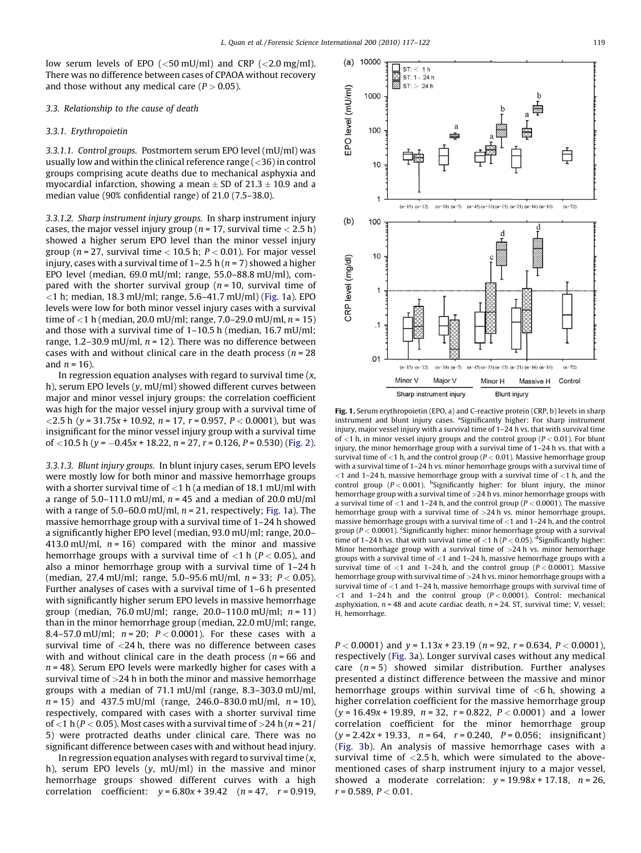<span id="page-2-0"></span>low serum levels of EPO  $(<50 \text{ mU/ml})$  and CRP  $(<2.0 \text{ mg/ml})$ . There was no difference between cases of CPAOA without recovery and those without any medical care  $(P > 0.05)$ .

## 3.3. Relationship to the cause of death

### 3.3.1. Erythropoietin

3.3.1.1. Control groups. Postmortem serum EPO level (mU/ml) was usually low and within the clinical reference range  $(<$ 36) in control groups comprising acute deaths due to mechanical asphyxia and myocardial infarction, showing a mean  $\pm$  SD of 21.3  $\pm$  10.9 and a median value (90% confidential range) of 21.0 (7.5–38.0).

3.3.1.2. Sharp instrument injury groups. In sharp instrument injury cases, the major vessel injury group ( $n = 17$ , survival time  $< 2.5$  h) showed a higher serum EPO level than the minor vessel injury group ( $n = 27$ , survival time < 10.5 h;  $P < 0.01$ ). For major vessel injury, cases with a survival time of  $1-2.5$  h ( $n = 7$ ) showed a higher EPO level (median, 69.0 mU/ml; range, 55.0–88.8 mU/ml), compared with the shorter survival group ( $n = 10$ , survival time of  $<$ 1 h; median, 18.3 mU/ml; range, 5.6-41.7 mU/ml) (Fig. 1a). EPO levels were low for both minor vessel injury cases with a survival time of <1 h (median, 20.0 mU/ml; range, 7.0–29.0 mU/ml,  $n = 15$ ) and those with a survival time of 1–10.5 h (median, 16.7 mU/ml; range, 1.2–30.9 mU/ml,  $n = 12$ ). There was no difference between cases with and without clinical care in the death process ( $n = 28$ ) and  $n = 16$ ).

In regression equation analyses with regard to survival time  $(x, y)$ h), serum EPO levels (y, mU/ml) showed different curves between major and minor vessel injury groups: the correlation coefficient was high for the major vessel injury group with a survival time of  $\langle 2.5 \text{ h } (v = 31.75x + 10.92, n = 17, r = 0.957, P < 0.0001$ ), but was insignificant for the minor vessel injury group with a survival time of  $<$ 10.5 h (y = –0.45x + 18.22, n = 27, r = 0.126, P = 0.530) [\(Fig. 2\)](#page-3-0).

3.3.1.3. Blunt injury groups. In blunt injury cases, serum EPO levels were mostly low for both minor and massive hemorrhage groups with a shorter survival time of  $<$ 1 h (a median of 18.1 mU/ml with a range of 5.0–111.0 mU/ml,  $n = 45$  and a median of 20.0 mU/ml with a range of  $5.0-60.0$  mU/ml,  $n = 21$ , respectively; Fig. 1a). The massive hemorrhage group with a survival time of 1–24 h showed a significantly higher EPO level (median, 93.0 mU/ml; range, 20.0– 413.0 mU/ml,  $n = 16$ ) compared with the minor and massive hemorrhage groups with a survival time of  $<$ 1 h ( $P$  < 0.05), and also a minor hemorrhage group with a survival time of 1–24 h (median, 27.4 mU/ml; range, 5.0–95.6 mU/ml,  $n = 33$ ;  $P < 0.05$ ). Further analyses of cases with a survival time of 1–6 h presented with significantly higher serum EPO levels in massive hemorrhage group (median, 76.0 mU/ml; range, 20.0–110.0 mU/ml;  $n = 11$ ) than in the minor hemorrhage group (median, 22.0 mU/ml; range, 8.4–57.0 mU/ml;  $n = 20$ ;  $P < 0.0001$ ). For these cases with a survival time of <24 h, there was no difference between cases with and without clinical care in the death process ( $n = 66$  and  $n = 48$ ). Serum EPO levels were markedly higher for cases with a survival time of  $>$ 24 h in both the minor and massive hemorrhage groups with a median of 71.1 mU/ml (range, 8.3–303.0 mU/ml,  $n = 15$ ) and 437.5 mU/ml (range, 246.0–830.0 mU/ml,  $n = 10$ ), respectively, compared with cases with a shorter survival time of <1 h ( $P$  < 0.05). Most cases with a survival time of >24 h ( $n = 21/$ ) 5) were protracted deaths under clinical care. There was no significant difference between cases with and without head injury.

In regression equation analyses with regard to survival time  $(x,$ h), serum EPO levels (y, mU/ml) in the massive and minor hemorrhage groups showed different curves with a high correlation coefficient:  $y = 6.80x + 39.42$   $(n = 47, r = 0.919,$ 



Fig. 1. Serum erythropoietin (EPO, a) and C-reactive protein (CRP, b) levels in sharp instrument and blunt injury cases. <sup>a</sup>Significantly higher: For sharp instrument injury, major vessel injury with a survival time of 1–24 h vs. that with survival time of  $<$ 1 h, in minor vessel injury groups and the control group ( $P$  < 0.01). For blunt injury, the minor hemorrhage group with a survival time of 1–24 h vs. that with a survival time of  $<$ 1 h, and the control group ( $P$  < 0.01). Massive hemorrhage group with a survival time of 1–24 h vs. minor hemorrhage groups with a survival time of  $\langle$  and 1–24 h, massive hemorrhage group with a survival time of  $\langle$  1 h, and the control group ( $P < 0.001$ ). <sup>b</sup>Significantly higher: for blunt injury, the minor hemorrhage group with a survival time of >24 h vs. minor hemorrhage groups with a survival time of  $<$ 1 and 1–24 h, and the control group ( $P$  < 0.0001). The massive hemorrhage group with a survival time of  $>24$  h vs. minor hemorrhage groups, massive hemorrhage groups with a survival time of <1 and 1–24 h, and the control group ( $P < 0.0001$ ). <sup>c</sup>Significantly higher: minor hemorrhage group with a survival time of 1–24 h vs. that with survival time of  $<$ 1 h (P  $<$  0.05). <sup>d</sup>Significantly higher: Minor hemorrhage group with a survival time of  $>24$  h vs. minor hemorrhage groups with a survival time of  $<$ 1 and 1–24 h, massive hemorrhage groups with a survival time of  $<$ 1 and 1-24 h, and the control group ( $P$  < 0.0001). Massive hemorrhage group with survival time of >24 h vs. minor hemorrhage groups with a survival time of  $\lt 1$  and 1–24 h, massive hemorrhage groups with survival time of  $\leq$ 1 and 1–24 h and the control group (P $\leq$  0.0001). Control: mechanical asphyxiation,  $n = 48$  and acute cardiac death,  $n = 24$ . ST, survival time; V, vessel; H, hemorrhage.

 $P < 0.0001$ ) and  $y = 1.13x + 23.19$  ( $n = 92$ ,  $r = 0.634$ ,  $P < 0.0001$ ), respectively [\(Fig. 3](#page-3-0)a). Longer survival cases without any medical care  $(n = 5)$  showed similar distribution. Further analyses presented a distinct difference between the massive and minor hemorrhage groups within survival time of  $<$ 6 h, showing a higher correlation coefficient for the massive hemorrhage group  $(y = 16.49x + 19.89, n = 32, r = 0.822, P < 0.0001)$  and a lower correlation coefficient for the minor hemorrhage group  $(y = 2.42x + 19.33, n = 64, r = 0.240, P = 0.056;$  insignificant) ([Fig. 3b](#page-3-0)). An analysis of massive hemorrhage cases with a survival time of  $<$ 2.5 h, which were simulated to the abovementioned cases of sharp instrument injury to a major vessel, showed a moderate correlation:  $y = 19.98x + 17.18$ ,  $n = 26$ ,  $r = 0.589, P < 0.01.$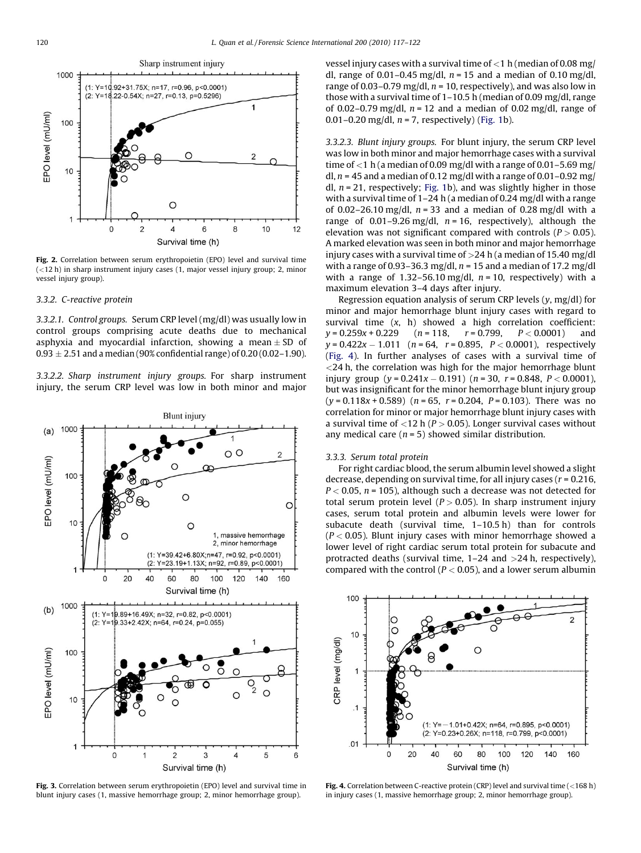<span id="page-3-0"></span>

Fig. 2. Correlation between serum erythropoietin (EPO) level and survival time (<12 h) in sharp instrument injury cases (1, major vessel injury group; 2, minor vessel injury group).

#### 3.3.2. C-reactive protein

3.3.2.1. Control groups. Serum CRP level (mg/dl) was usually low in control groups comprising acute deaths due to mechanical asphyxia and myocardial infarction, showing a mean  $\pm$  SD of  $0.93 \pm 2.51$  and a median (90% confidential range) of 0.20 (0.02–1.90).

3.3.2.2. Sharp instrument injury groups. For sharp instrument injury, the serum CRP level was low in both minor and major



Fig. 3. Correlation between serum erythropoietin (EPO) level and survival time in blunt injury cases (1, massive hemorrhage group; 2, minor hemorrhage group).

vessel injury cases with a survival time of  $<$ 1 h (median of 0.08 mg/ dl, range of 0.01–0.45 mg/dl,  $n = 15$  and a median of 0.10 mg/dl, range of 0.03–0.79 mg/dl,  $n = 10$ , respectively), and was also low in those with a survival time of 1–10.5 h (median of 0.09 mg/dl, range of 0.02–0.79 mg/dl,  $n = 12$  and a median of 0.02 mg/dl, range of 0.01–0.20 mg/dl,  $n = 7$ , respectively) ([Fig. 1b](#page-2-0)).

3.3.2.3. Blunt injury groups. For blunt injury, the serum CRP level was low in both minor and major hemorrhage cases with a survival time of  $<$  1 h (a median of 0.09 mg/dl with a range of 0.01-5.69 mg/ dl,  $n = 45$  and a median of 0.12 mg/dl with a range of 0.01–0.92 mg/ dl,  $n = 21$ , respectively; [Fig. 1b](#page-2-0)), and was slightly higher in those with a survival time of 1–24 h (a median of 0.24 mg/dl with a range of 0.02–26.10 mg/dl,  $n = 33$  and a median of 0.28 mg/dl with a range of 0.01–9.26 mg/dl,  $n = 16$ , respectively), although the elevation was not significant compared with controls ( $P > 0.05$ ). A marked elevation was seen in both minor and major hemorrhage injury cases with a survival time of  $>$ 24 h (a median of 15.40 mg/dl with a range of 0.93–36.3 mg/dl,  $n = 15$  and a median of 17.2 mg/dl with a range of 1.32–56.10 mg/dl,  $n = 10$ , respectively) with a maximum elevation 3–4 days after injury.

Regression equation analysis of serum CRP levels  $(y, mg/dl)$  for minor and major hemorrhage blunt injury cases with regard to survival time  $(x, h)$  showed a high correlation coefficient:  $y = 0.259x + 0.229$   $(n = 118, r = 0.799, P < 0.0001)$  and  $y$  = 0.422 $x$  – 1.011  $\,$  ( $n$  = 64,  $\,$  r = 0.895,  $\,$  P  $<$  0.0001),  $\,$  respectively (Fig. 4). In further analyses of cases with a survival time of  $<$ 24 h, the correlation was high for the major hemorrhage blunt injury group  $(y = 0.241x - 0.191)$   $(n = 30, r = 0.848, P < 0.0001)$ but was insignificant for the minor hemorrhage blunt injury group  $(y = 0.118x + 0.589)$  (n = 65, r = 0.204, P = 0.103). There was no correlation for minor or major hemorrhage blunt injury cases with a survival time of  $<$ 12 h ( $P$   $>$  0.05). Longer survival cases without any medical care ( $n = 5$ ) showed similar distribution.

#### 3.3.3. Serum total protein

For right cardiac blood, the serum albumin level showed a slight decrease, depending on survival time, for all injury cases ( $r = 0.216$ ,  $P < 0.05$ ,  $n = 105$ ), although such a decrease was not detected for total serum protein level ( $P > 0.05$ ). In sharp instrument injury cases, serum total protein and albumin levels were lower for subacute death (survival time, 1–10.5 h) than for controls  $(P < 0.05)$ . Blunt injury cases with minor hemorrhage showed a lower level of right cardiac serum total protein for subacute and protracted deaths (survival time, 1–24 and >24 h, respectively), compared with the control ( $P < 0.05$ ), and a lower serum albumin



**Fig. 4.** Correlation between C-reactive protein (CRP) level and survival time ( $\lt 168$  h) in injury cases (1, massive hemorrhage group; 2, minor hemorrhage group).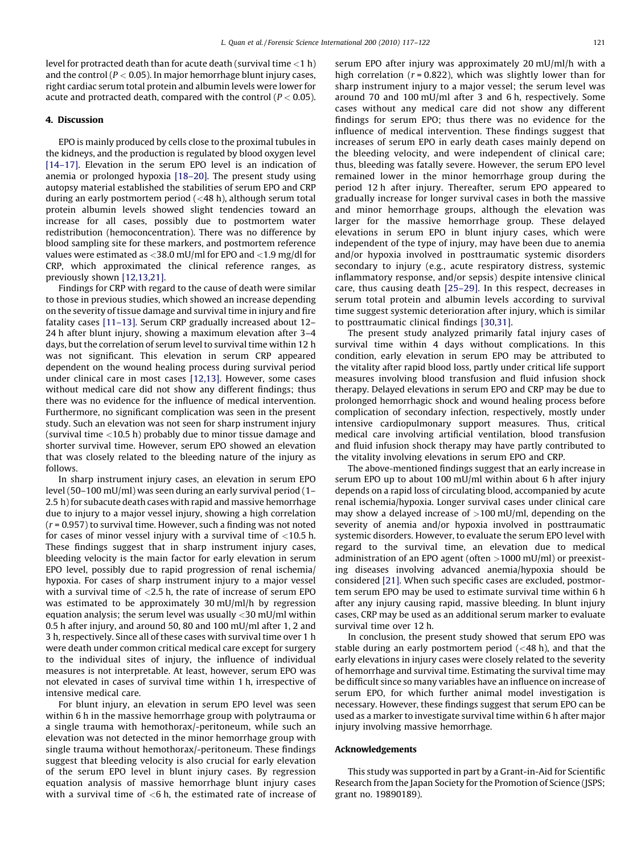level for protracted death than for acute death (survival time  $<$ 1 h) and the control ( $P < 0.05$ ). In major hemorrhage blunt injury cases, right cardiac serum total protein and albumin levels were lower for acute and protracted death, compared with the control ( $P < 0.05$ ).

## 4. Discussion

EPO is mainly produced by cells close to the proximal tubules in the kidneys, and the production is regulated by blood oxygen level [\[14–17\].](#page-5-0) Elevation in the serum EPO level is an indication of anemia or prolonged hypoxia [\[18–20\]](#page-5-0). The present study using autopsy material established the stabilities of serum EPO and CRP during an early postmortem period (<48 h), although serum total protein albumin levels showed slight tendencies toward an increase for all cases, possibly due to postmortem water redistribution (hemoconcentration). There was no difference by blood sampling site for these markers, and postmortem reference values were estimated as <38.0 mU/ml for EPO and <1.9 mg/dl for CRP, which approximated the clinical reference ranges, as previously shown [\[12,13,21\]](#page-5-0).

Findings for CRP with regard to the cause of death were similar to those in previous studies, which showed an increase depending on the severity of tissue damage and survival time in injury and fire fatality cases [\[11–13\].](#page-5-0) Serum CRP gradually increased about 12– 24 h after blunt injury, showing a maximum elevation after 3–4 days, but the correlation of serum level to survival time within 12 h was not significant. This elevation in serum CRP appeared dependent on the wound healing process during survival period under clinical care in most cases [\[12,13\]](#page-5-0). However, some cases without medical care did not show any different findings; thus there was no evidence for the influence of medical intervention. Furthermore, no significant complication was seen in the present study. Such an elevation was not seen for sharp instrument injury (survival time <10.5 h) probably due to minor tissue damage and shorter survival time. However, serum EPO showed an elevation that was closely related to the bleeding nature of the injury as follows.

In sharp instrument injury cases, an elevation in serum EPO level (50–100 mU/ml) was seen during an early survival period (1– 2.5 h) for subacute death cases with rapid and massive hemorrhage due to injury to a major vessel injury, showing a high correlation  $(r = 0.957)$  to survival time. However, such a finding was not noted for cases of minor vessel injury with a survival time of  $<$ 10.5 h. These findings suggest that in sharp instrument injury cases, bleeding velocity is the main factor for early elevation in serum EPO level, possibly due to rapid progression of renal ischemia/ hypoxia. For cases of sharp instrument injury to a major vessel with a survival time of <2.5 h, the rate of increase of serum EPO was estimated to be approximately 30 mU/ml/h by regression equation analysis; the serum level was usually  $\langle 30 \text{ mU/ml}$  within 0.5 h after injury, and around 50, 80 and 100 mU/ml after 1, 2 and 3 h, respectively. Since all of these cases with survival time over 1 h were death under common critical medical care except for surgery to the individual sites of injury, the influence of individual measures is not interpretable. At least, however, serum EPO was not elevated in cases of survival time within 1 h, irrespective of intensive medical care.

For blunt injury, an elevation in serum EPO level was seen within 6 h in the massive hemorrhage group with polytrauma or a single trauma with hemothorax/-peritoneum, while such an elevation was not detected in the minor hemorrhage group with single trauma without hemothorax/-peritoneum. These findings suggest that bleeding velocity is also crucial for early elevation of the serum EPO level in blunt injury cases. By regression equation analysis of massive hemorrhage blunt injury cases with a survival time of  $<$ 6 h, the estimated rate of increase of serum EPO after injury was approximately 20 mU/ml/h with a high correlation ( $r = 0.822$ ), which was slightly lower than for sharp instrument injury to a major vessel; the serum level was around 70 and 100 mU/ml after 3 and 6 h, respectively. Some cases without any medical care did not show any different findings for serum EPO; thus there was no evidence for the influence of medical intervention. These findings suggest that increases of serum EPO in early death cases mainly depend on the bleeding velocity, and were independent of clinical care; thus, bleeding was fatally severe. However, the serum EPO level remained lower in the minor hemorrhage group during the period 12 h after injury. Thereafter, serum EPO appeared to gradually increase for longer survival cases in both the massive and minor hemorrhage groups, although the elevation was larger for the massive hemorrhage group. These delayed elevations in serum EPO in blunt injury cases, which were independent of the type of injury, may have been due to anemia and/or hypoxia involved in posttraumatic systemic disorders secondary to injury (e.g., acute respiratory distress, systemic inflammatory response, and/or sepsis) despite intensive clinical care, thus causing death [\[25–29\]](#page-5-0). In this respect, decreases in serum total protein and albumin levels according to survival time suggest systemic deterioration after injury, which is similar to posttraumatic clinical findings [\[30,31\].](#page-5-0)

The present study analyzed primarily fatal injury cases of survival time within 4 days without complications. In this condition, early elevation in serum EPO may be attributed to the vitality after rapid blood loss, partly under critical life support measures involving blood transfusion and fluid infusion shock therapy. Delayed elevations in serum EPO and CRP may be due to prolonged hemorrhagic shock and wound healing process before complication of secondary infection, respectively, mostly under intensive cardiopulmonary support measures. Thus, critical medical care involving artificial ventilation, blood transfusion and fluid infusion shock therapy may have partly contributed to the vitality involving elevations in serum EPO and CRP.

The above-mentioned findings suggest that an early increase in serum EPO up to about 100 mU/ml within about 6 h after injury depends on a rapid loss of circulating blood, accompanied by acute renal ischemia/hypoxia. Longer survival cases under clinical care may show a delayed increase of  $>100$  mU/ml, depending on the severity of anemia and/or hypoxia involved in posttraumatic systemic disorders. However, to evaluate the serum EPO level with regard to the survival time, an elevation due to medical administration of an EPO agent (often  $>1000$  mU/ml) or preexisting diseases involving advanced anemia/hypoxia should be considered [\[21\]](#page-5-0). When such specific cases are excluded, postmortem serum EPO may be used to estimate survival time within 6 h after any injury causing rapid, massive bleeding. In blunt injury cases, CRP may be used as an additional serum marker to evaluate survival time over 12 h.

In conclusion, the present study showed that serum EPO was stable during an early postmortem period  $(<$  48 h), and that the early elevations in injury cases were closely related to the severity of hemorrhage and survival time. Estimating the survival time may be difficult since so many variables have an influence on increase of serum EPO, for which further animal model investigation is necessary. However, these findings suggest that serum EPO can be used as a marker to investigate survival time within 6 h after major injury involving massive hemorrhage.

#### Acknowledgements

This study was supported in part by a Grant-in-Aid for Scientific Research from the Japan Society for the Promotion of Science (JSPS; grant no. 19890189).